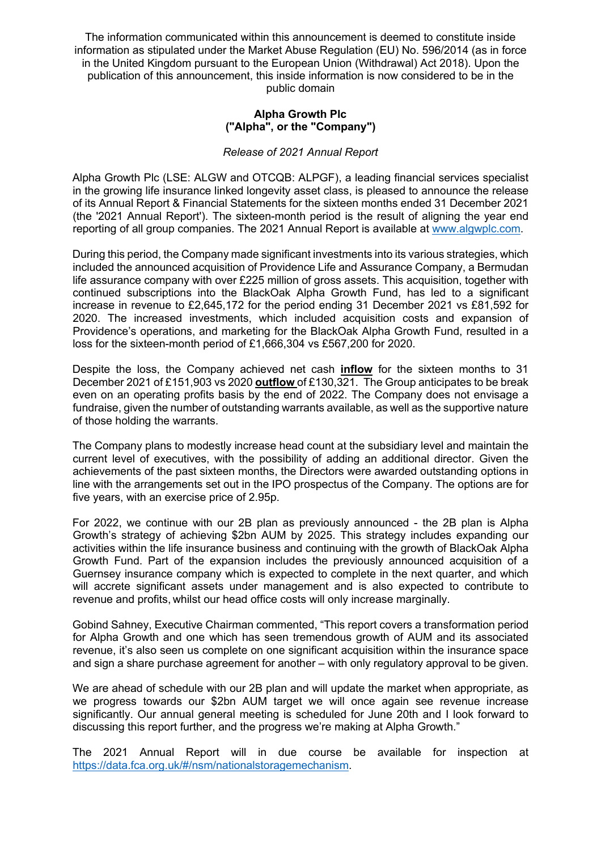The information communicated within this announcement is deemed to constitute inside information as stipulated under the Market Abuse Regulation (EU) No. 596/2014 (as in force in the United Kingdom pursuant to the European Union (Withdrawal) Act 2018). Upon the publication of this announcement, this inside information is now considered to be in the public domain

#### **Alpha Growth Plc ("Alpha", or the "Company")**

### *Release of 2021 Annual Report*

Alpha Growth Plc (LSE: ALGW and OTCQB: ALPGF), a leading financial services specialist in the growing life insurance linked longevity asset class, is pleased to announce the release of its Annual Report & Financial Statements for the sixteen months ended 31 December 2021 (the '2021 Annual Report'). The sixteen-month period is the result of aligning the year end reporting of all group companies. The 2021 Annual Report is available at www.algwplc.com.

During this period, the Company made significant investments into its various strategies, which included the announced acquisition of Providence Life and Assurance Company, a Bermudan life assurance company with over £225 million of gross assets. This acquisition, together with continued subscriptions into the BlackOak Alpha Growth Fund, has led to a significant increase in revenue to £2,645,172 for the period ending 31 December 2021 vs £81,592 for 2020. The increased investments, which included acquisition costs and expansion of Providence's operations, and marketing for the BlackOak Alpha Growth Fund, resulted in a loss for the sixteen-month period of £1,666,304 vs £567,200 for 2020.

Despite the loss, the Company achieved net cash **inflow** for the sixteen months to 31 December 2021 of £151,903 vs 2020 **outflow** of £130,321. The Group anticipates to be break even on an operating profits basis by the end of 2022. The Company does not envisage a fundraise, given the number of outstanding warrants available, as well as the supportive nature of those holding the warrants.

The Company plans to modestly increase head count at the subsidiary level and maintain the current level of executives, with the possibility of adding an additional director. Given the achievements of the past sixteen months, the Directors were awarded outstanding options in line with the arrangements set out in the IPO prospectus of the Company. The options are for five years, with an exercise price of 2.95p.

For 2022, we continue with our 2B plan as previously announced - the 2B plan is Alpha Growth's strategy of achieving \$2bn AUM by 2025. This strategy includes expanding our activities within the life insurance business and continuing with the growth of BlackOak Alpha Growth Fund. Part of the expansion includes the previously announced acquisition of a Guernsey insurance company which is expected to complete in the next quarter, and which will accrete significant assets under management and is also expected to contribute to revenue and profits, whilst our head office costs will only increase marginally.

Gobind Sahney, Executive Chairman commented, "This report covers a transformation period for Alpha Growth and one which has seen tremendous growth of AUM and its associated revenue, it's also seen us complete on one significant acquisition within the insurance space and sign a share purchase agreement for another – with only regulatory approval to be given.

We are ahead of schedule with our 2B plan and will update the market when appropriate, as we progress towards our \$2bn AUM target we will once again see revenue increase significantly. Our annual general meeting is scheduled for June 20th and I look forward to discussing this report further, and the progress we're making at Alpha Growth."

The 2021 Annual Report will in due course be available for inspection at https://data.fca.org.uk/#/nsm/nationalstoragemechanism.